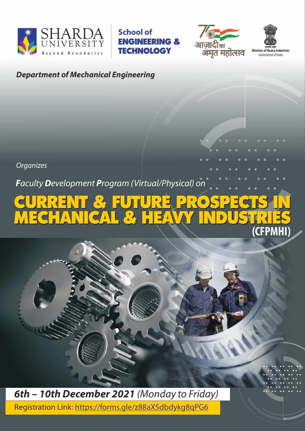

**School of**  ENGINEERING & **TECHNOLOGY** 



**Ministry of Heavy Industries**  Government of India

# **Department of Mechanical Engineering**

**Organizes** 

**F**aculty **D**evelopment **P**rogram (Virtual/Physical) on

## CURRENT & FUTURE PROSPECTS IN MECHANICAL & HEAVY INDUSTRIES CURRENT & FUTURE PROSPECTS IN MECHANICAL & HEAVY INDUSTRIES **(CFPMHI)**

**6th – 10th December 2021** (Monday to Friday) Registration Link: https://forms.gle/z88aX5dbdykg8qPG6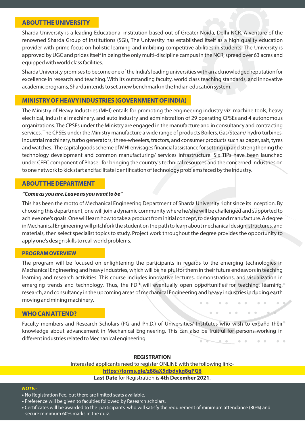## **ABOUT THE UNIVERSITY**

Sharda University is a leading Educational institution based out of Greater Noida, Delhi NCR. A venture of the renowned Sharda Group of Institutions (SGI), The University has established itself as a high quality education provider with prime focus on holistic learning and imbibing competitive abilities in students. The University is approved by UGC and prides itself in being the only multi-discipline campus in the NCR, spread over 63 acres and equipped with world class facilities.

Sharda University promises to become one of the India's leading universities with an acknowledged reputation for excellence in research and teaching. With its outstanding faculty, world class teaching standards, and innovative academic programs, Sharda intends to set a new benchmark in the Indian education system.

## **MINISTRY OF HEAVY INDUSTRIES (GOVERNMENT OF INDIA)**

The Ministry of Heavy Industries (MHI) entails for promoting the engineering industry viz. machine tools, heavy electrical, industrial machinery, and auto industry and administration of 29 operating CPSEs and 4 autonomous organizations. The CPSEs under the Ministry are engaged in the manufacture and in consultancy and contracting services. The CPSEs under the Ministry manufacture a wide range of products Boilers, Gas/Steam/ hydro turbines, industrial machinery, turbo generators, three-wheelers, tractors, and consumer products such as paper, salt, tyres and watches.. The capital goods scheme of MHI envisages financial assistance for setting up and strengthening the technology development and common manufacturing/ services infrastructure. Six TIPs have been launched under CEFC component of Phase I for bringing the country's technical resources and the concerned Industries on to one network to kick start and facilitate identification of technology problems faced by the Industry.

#### **ABOUT THE DEPARTMENT**

#### **"Come as you are. Leave as you want to be"**

This has been the motto of Mechanical Engineering Department of Sharda University right since its inception. By choosing this department, one will join a dynamic community where he/she will be challenged and supported to achieve one's goals. One will learn how to take a product from initial concept, to design and manufacture. A degree in Mechanical Engineering will pitchfork the student on the path to learn about mechanical design, structures, and materials, then select specialist topics to study. Project work throughout the degree provides the opportunity to apply one's design skills to real-world problems.

#### **PROGRAM OVERVIEW**

The program will be focused on enlightening the participants in regards to the emerging technologies in Mechanical Engineering and heavy industries, which will be helpful for them in their future endeavors in teaching learning and research activities. This course includes innovative lectures, demonstrations, and visualization in emerging trends and technology. Thus, the FDP will eventually open opportunities for teaching, learning, research, and consultancy in the upcoming areas of mechanical Engineering and heavy industries including earth moving and mining machinery.

#### **WHO CAN ATTEND?**

Faculty members and Research Scholars (PG and Ph.D.) of Universities/ Institutes who wish to expand their<sup>o</sup> knowledge about advancement in Mechanical Engineering. This can also be fruitful for persons working in different industries related to Mechanical engineering.

#### **REGISTRATION**

Interested applicants need to register ONLINE with the following link: **https://forms.gle/z88aX5dbdykg8qPG6 Last Date** for Registration is **4th December 2021**.

#### **NOTE:-**

- **•** No Registration Fee, but there are limited seats available.
- **•** Preference will be given to faculties followed by Research scholars.
- Certificates will be awarded to the participants who will satisfy the requirement of minimum attendance (80%) and secure minimum 60% marks in the quiz.